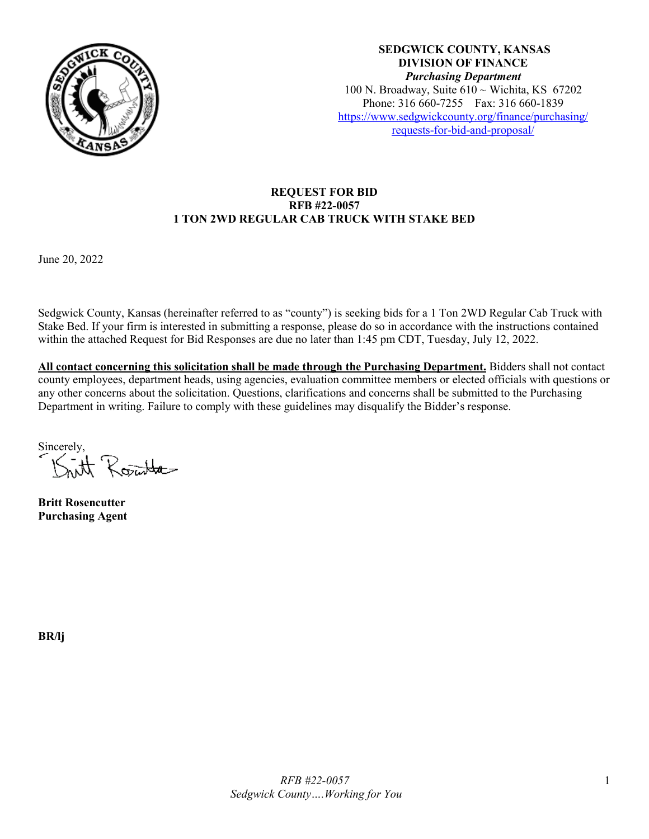

**SEDGWICK COUNTY, KANSAS DIVISION OF FINANCE** *Purchasing Department* 100 N. Broadway, Suite  $610 \sim$  Wichita, KS 67202 Phone: 316 660-7255 Fax: 316 660-1839 [https://www.sedgwickcounty.org/finance/purchasing/](https://www.sedgwickcounty.org/finance/purchasing/requests-for-bid-and-proposal/)  [requests-for-bid-and-proposal/](https://www.sedgwickcounty.org/finance/purchasing/requests-for-bid-and-proposal/)

## **REQUEST FOR BID RFB #22-0057 1 TON 2WD REGULAR CAB TRUCK WITH STAKE BED**

June 20, 2022

Sedgwick County, Kansas (hereinafter referred to as "county") is seeking bids for a 1 Ton 2WD Regular Cab Truck with Stake Bed. If your firm is interested in submitting a response, please do so in accordance with the instructions contained within the attached Request for Bid Responses are due no later than 1:45 pm CDT, Tuesday, July 12, 2022.

**All contact concerning this solicitation shall be made through the Purchasing Department.** Bidders shall not contact county employees, department heads, using agencies, evaluation committee members or elected officials with questions or any other concerns about the solicitation. Questions, clarifications and concerns shall be submitted to the Purchasing Department in writing. Failure to comply with these guidelines may disqualify the Bidder's response.

Sincerely,<br>Kitt Rosental

**Britt Rosencutter Purchasing Agent**

**BR/lj**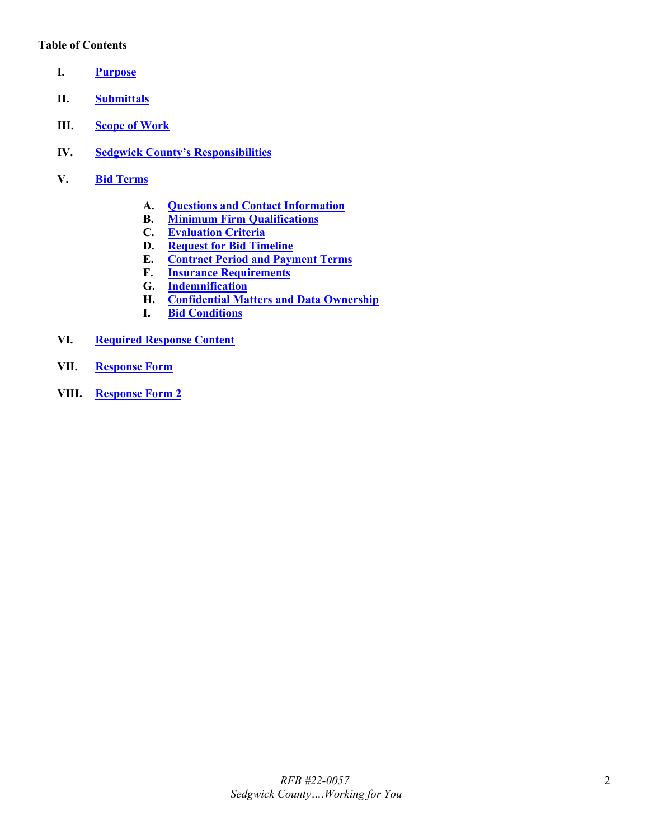### **Table of Contents**

- <span id="page-1-0"></span>**I. [Purpose](#page-2-0)**
- <span id="page-1-1"></span>**II. [Submittals](#page-2-1)**
- <span id="page-1-2"></span>**III. [Scope of Work](#page-2-2)**
- <span id="page-1-3"></span>**IV. [Sedgwick County's Responsibilities](#page-3-0)**
- <span id="page-1-9"></span><span id="page-1-8"></span><span id="page-1-7"></span><span id="page-1-6"></span><span id="page-1-5"></span><span id="page-1-4"></span>**V. Bid [Terms](#page-3-1)**
	- **A. [Questions and Contact Information](#page-3-2)**
	- **B. [Minimum Firm Qualifications](#page-3-3)**
	- **C. [Evaluation Criteria](#page-4-0)**
	- **D. [Request for Bid](#page-4-1) Timeline**
	- **E. [Contract Period and Payment Terms](#page-4-2)**
	- **F. [Insurance Requirements](#page-4-3)**
	- **G. [Indemnification](#page-5-0)**
	- **H. [Confidential Matters and Data Ownership](#page-5-1)**
	- **I. [Bid Conditions](#page-6-0)**
- <span id="page-1-14"></span><span id="page-1-13"></span><span id="page-1-12"></span><span id="page-1-11"></span><span id="page-1-10"></span>**VI. [Required Response Content](#page-6-1)**
- <span id="page-1-15"></span>**VII. [Response Form](#page-6-2)**
- <span id="page-1-16"></span>**VIII. [Response Form 2](#page-8-0)**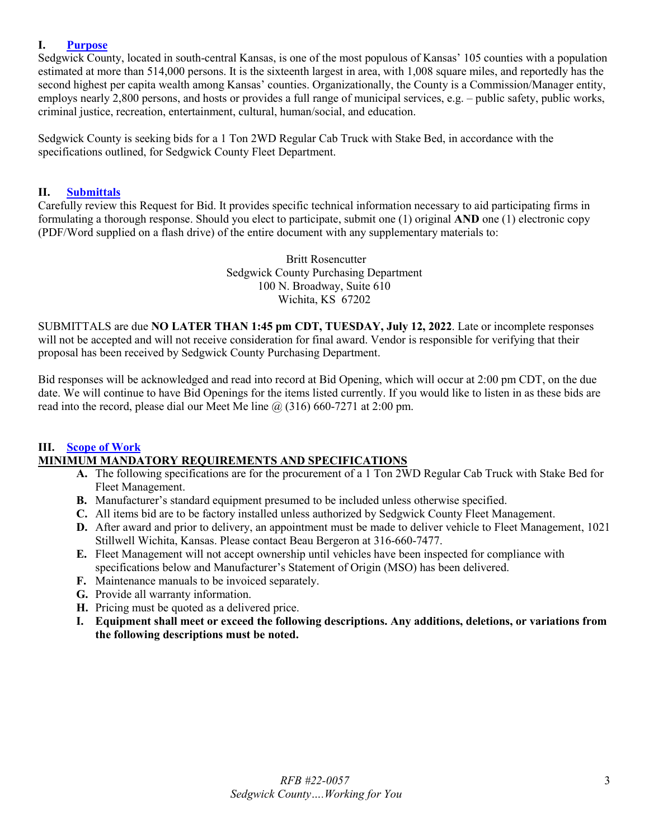### <span id="page-2-0"></span>**I. [Purpose](#page-1-0)**

Sedgwick County, located in south-central Kansas, is one of the most populous of Kansas' 105 counties with a population estimated at more than 514,000 persons. It is the sixteenth largest in area, with 1,008 square miles, and reportedly has the second highest per capita wealth among Kansas' counties. Organizationally, the County is a Commission/Manager entity, employs nearly 2,800 persons, and hosts or provides a full range of municipal services, e.g. – public safety, public works, criminal justice, recreation, entertainment, cultural, human/social, and education.

Sedgwick County is seeking bids for a 1 Ton 2WD Regular Cab Truck with Stake Bed, in accordance with the specifications outlined, for Sedgwick County Fleet Department.

#### <span id="page-2-1"></span>**II. [Submittals](#page-1-1)**

Carefully review this Request for Bid. It provides specific technical information necessary to aid participating firms in formulating a thorough response. Should you elect to participate, submit one (1) original **AND** one (1) electronic copy (PDF/Word supplied on a flash drive) of the entire document with any supplementary materials to:

> Britt Rosencutter Sedgwick County Purchasing Department 100 N. Broadway, Suite 610 Wichita, KS 67202

SUBMITTALS are due **NO LATER THAN 1:45 pm CDT, TUESDAY, July 12, 2022**. Late or incomplete responses will not be accepted and will not receive consideration for final award. Vendor is responsible for verifying that their proposal has been received by Sedgwick County Purchasing Department.

Bid responses will be acknowledged and read into record at Bid Opening, which will occur at 2:00 pm CDT, on the due date. We will continue to have Bid Openings for the items listed currently. If you would like to listen in as these bids are read into the record, please dial our Meet Me line  $\omega(316)$  660-7271 at 2:00 pm.

#### <span id="page-2-2"></span>**III. [Scope of Work](#page-1-2) MINIMUM MANDATORY REQUIREMENTS AND SPECIFICATIONS**

- **A.** The following specifications are for the procurement of a 1 Ton 2WD Regular Cab Truck with Stake Bed for Fleet Management.
- **B.** Manufacturer's standard equipment presumed to be included unless otherwise specified.
- **C.** All items bid are to be factory installed unless authorized by Sedgwick County Fleet Management.
- **D.** After award and prior to delivery, an appointment must be made to deliver vehicle to Fleet Management, 1021 Stillwell Wichita, Kansas. Please contact Beau Bergeron at 316-660-7477.
- **E.** Fleet Management will not accept ownership until vehicles have been inspected for compliance with specifications below and Manufacturer's Statement of Origin (MSO) has been delivered.
- **F.** Maintenance manuals to be invoiced separately.
- **G.** Provide all warranty information.
- **H.** Pricing must be quoted as a delivered price.
- **I. Equipment shall meet or exceed the following descriptions. Any additions, deletions, or variations from the following descriptions must be noted.**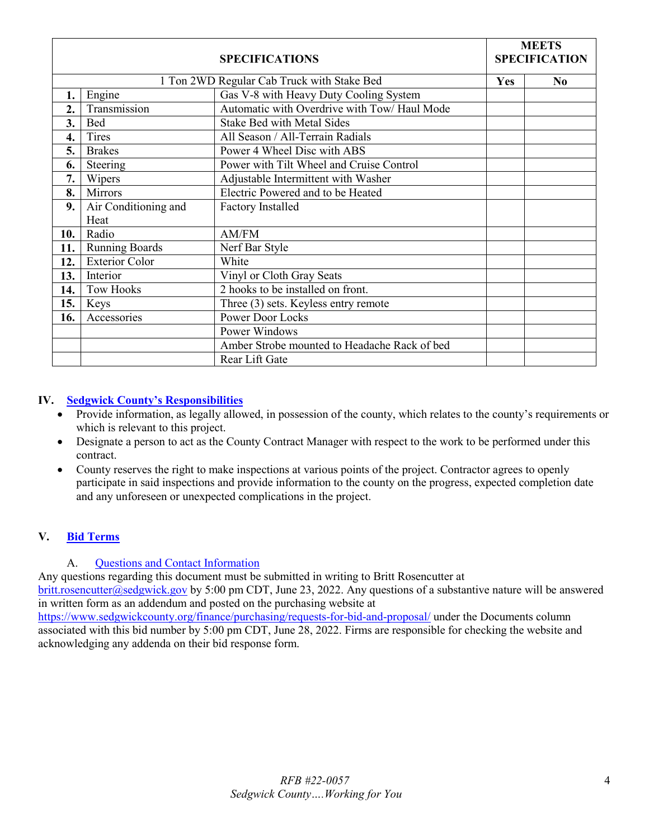| <b>SPECIFICATIONS</b> |                       |                                                | <b>MEETS</b><br><b>SPECIFICATION</b> |                |
|-----------------------|-----------------------|------------------------------------------------|--------------------------------------|----------------|
|                       |                       | 1 Ton 2WD Regular Cab Truck with Stake Bed     | Yes                                  | N <sub>0</sub> |
| 1.                    | Engine                | Gas V-8 with Heavy Duty Cooling System         |                                      |                |
| 2.                    | Transmission          | Automatic with Overdrive with Tow/ Haul Mode   |                                      |                |
| 3.                    | Bed                   | <b>Stake Bed with Metal Sides</b>              |                                      |                |
| 4.                    | Tires                 | All Season / All-Terrain Radials               |                                      |                |
| 5.                    | <b>Brakes</b>         | Power 4 Wheel Disc with ABS                    |                                      |                |
| 6.                    | Steering              | Power with Tilt Wheel and Cruise Control       |                                      |                |
| 7.                    | Wipers                | Adjustable Intermittent with Washer            |                                      |                |
| 8.                    | Mirrors               | Electric Powered and to be Heated              |                                      |                |
| 9.                    | Air Conditioning and  | <b>Factory Installed</b>                       |                                      |                |
|                       | Heat                  |                                                |                                      |                |
| 10.                   | Radio                 | AM/FM                                          |                                      |                |
| 11.                   | <b>Running Boards</b> | Nerf Bar Style                                 |                                      |                |
| 12.                   | <b>Exterior Color</b> | White                                          |                                      |                |
| 13.                   | Interior              | Vinyl or Cloth Gray Seats                      |                                      |                |
| 14.                   | <b>Tow Hooks</b>      | $\overline{2}$ hooks to be installed on front. |                                      |                |
| 15.                   | Keys                  | Three (3) sets. Keyless entry remote           |                                      |                |
| 16.                   | Accessories           | <b>Power Door Locks</b>                        |                                      |                |
|                       |                       | Power Windows                                  |                                      |                |
|                       |                       | Amber Strobe mounted to Headache Rack of bed   |                                      |                |
|                       |                       | Rear Lift Gate                                 |                                      |                |

## <span id="page-3-0"></span>**IV. [Sedgwick County's Responsibilities](#page-1-3)**

- Provide information, as legally allowed, in possession of the county, which relates to the county's requirements or which is relevant to this project.
- Designate a person to act as the County Contract Manager with respect to the work to be performed under this contract.
- County reserves the right to make inspections at various points of the project. Contractor agrees to openly participate in said inspections and provide information to the county on the progress, expected completion date and any unforeseen or unexpected complications in the project.

# <span id="page-3-1"></span>**V. Bid [Terms](#page-1-4)**

## A. [Questions and Contact Information](#page-1-5)

<span id="page-3-2"></span>Any questions regarding this document must be submitted in writing to Britt Rosencutter at [britt.rosencutter@sedgwick.gov](mailto:britt.rosencutter@sedgwick.gov) by 5:00 pm CDT, June 23, 2022. Any questions of a substantive nature will be answered in written form as an addendum and posted on the purchasing website at

<span id="page-3-3"></span><https://www.sedgwickcounty.org/finance/purchasing/requests-for-bid-and-proposal/>under the Documents column associated with this bid number by 5:00 pm CDT, June 28, 2022. Firms are responsible for checking the website and acknowledging any addenda on their bid response form.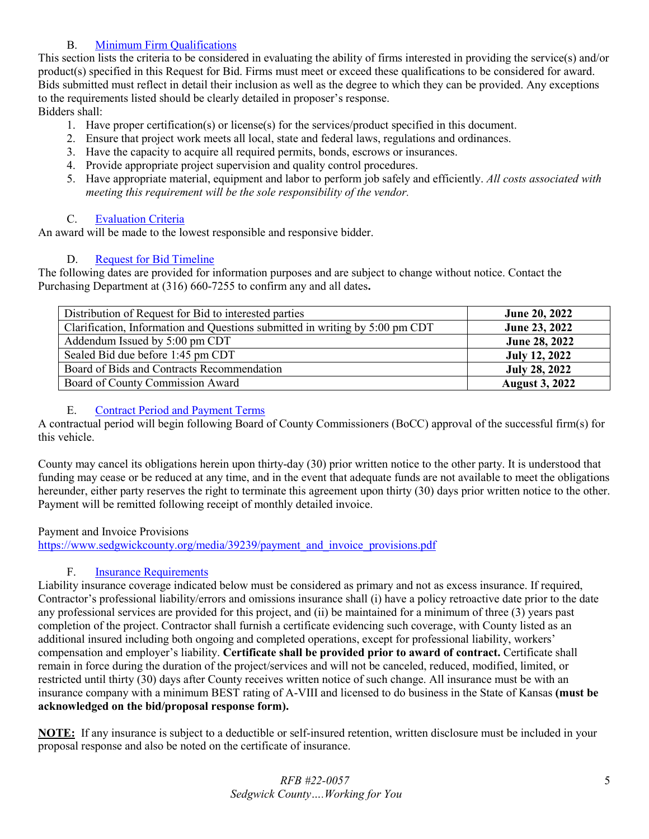# B. [Minimum Firm Qualifications](#page-1-6)

This section lists the criteria to be considered in evaluating the ability of firms interested in providing the service(s) and/or product(s) specified in this Request for Bid. Firms must meet or exceed these qualifications to be considered for award. Bids submitted must reflect in detail their inclusion as well as the degree to which they can be provided. Any exceptions to the requirements listed should be clearly detailed in proposer's response.

Bidders shall:

- 1. Have proper certification(s) or license(s) for the services/product specified in this document.
- 2. Ensure that project work meets all local, state and federal laws, regulations and ordinances.
- 3. Have the capacity to acquire all required permits, bonds, escrows or insurances.
- 4. Provide appropriate project supervision and quality control procedures.
- 5. Have appropriate material, equipment and labor to perform job safely and efficiently. *All costs associated with meeting this requirement will be the sole responsibility of the vendor.*

# C. [Evaluation Criteria](#page-1-7)

<span id="page-4-0"></span>An award will be made to the lowest responsible and responsive bidder.

# D. [Request for Bid](#page-1-8) Timeline

<span id="page-4-1"></span>The following dates are provided for information purposes and are subject to change without notice. Contact the Purchasing Department at (316) 660-7255 to confirm any and all dates**.** 

| Distribution of Request for Bid to interested parties                        | <b>June 20, 2022</b>  |
|------------------------------------------------------------------------------|-----------------------|
| Clarification, Information and Questions submitted in writing by 5:00 pm CDT | <b>June 23, 2022</b>  |
| Addendum Issued by 5:00 pm CDT                                               | June 28, 2022         |
| Sealed Bid due before 1:45 pm CDT                                            | <b>July 12, 2022</b>  |
| Board of Bids and Contracts Recommendation                                   | <b>July 28, 2022</b>  |
| Board of County Commission Award                                             | <b>August 3, 2022</b> |

## E. [Contract Period and Payment Terms](#page-1-9)

<span id="page-4-2"></span>A contractual period will begin following Board of County Commissioners (BoCC) approval of the successful firm(s) for this vehicle.

County may cancel its obligations herein upon thirty-day (30) prior written notice to the other party. It is understood that funding may cease or be reduced at any time, and in the event that adequate funds are not available to meet the obligations hereunder, either party reserves the right to terminate this agreement upon thirty (30) days prior written notice to the other. Payment will be remitted following receipt of monthly detailed invoice.

## Payment and Invoice Provisions

[https://www.sedgwickcounty.org/media/39239/payment\\_and\\_invoice\\_provisions.pdf](https://www.sedgwickcounty.org/media/39239/payment_and_invoice_provisions.pdf)

# F. [Insurance Requirements](#page-1-10)

<span id="page-4-3"></span>Liability insurance coverage indicated below must be considered as primary and not as excess insurance. If required, Contractor's professional liability/errors and omissions insurance shall (i) have a policy retroactive date prior to the date any professional services are provided for this project, and (ii) be maintained for a minimum of three (3) years past completion of the project. Contractor shall furnish a certificate evidencing such coverage, with County listed as an additional insured including both ongoing and completed operations, except for professional liability, workers' compensation and employer's liability. **Certificate shall be provided prior to award of contract.** Certificate shall remain in force during the duration of the project/services and will not be canceled, reduced, modified, limited, or restricted until thirty (30) days after County receives written notice of such change. All insurance must be with an insurance company with a minimum BEST rating of A-VIII and licensed to do business in the State of Kansas **(must be acknowledged on the bid/proposal response form).**

**NOTE:** If any insurance is subject to a deductible or self-insured retention, written disclosure must be included in your proposal response and also be noted on the certificate of insurance.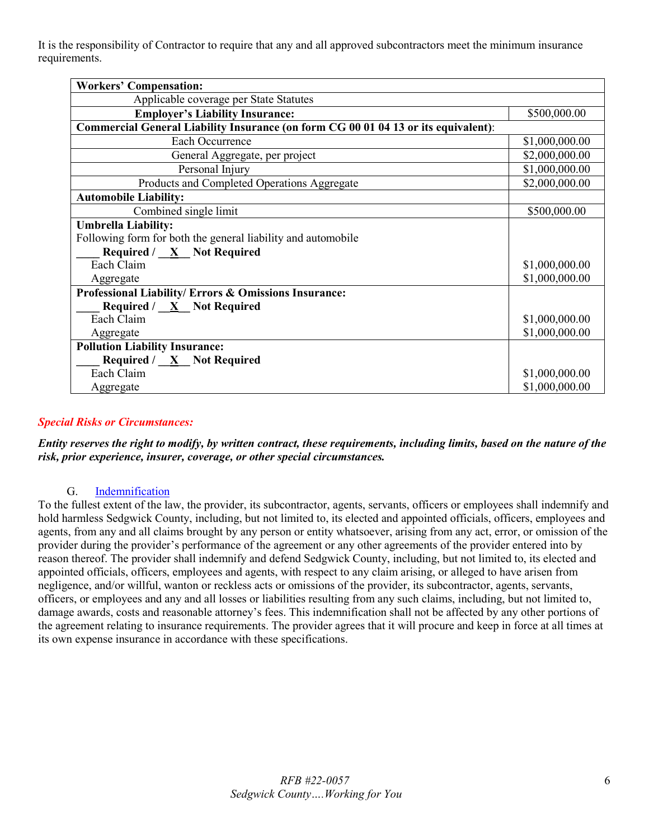It is the responsibility of Contractor to require that any and all approved subcontractors meet the minimum insurance requirements.

| <b>Workers' Compensation:</b>                                                      |                |  |  |  |
|------------------------------------------------------------------------------------|----------------|--|--|--|
| Applicable coverage per State Statutes                                             |                |  |  |  |
| <b>Employer's Liability Insurance:</b>                                             | \$500,000.00   |  |  |  |
| Commercial General Liability Insurance (on form CG 00 01 04 13 or its equivalent): |                |  |  |  |
| Each Occurrence                                                                    | \$1,000,000.00 |  |  |  |
| General Aggregate, per project                                                     | \$2,000,000.00 |  |  |  |
| Personal Injury                                                                    | \$1,000,000.00 |  |  |  |
| Products and Completed Operations Aggregate                                        | \$2,000,000.00 |  |  |  |
| <b>Automobile Liability:</b>                                                       |                |  |  |  |
| Combined single limit                                                              | \$500,000.00   |  |  |  |
| <b>Umbrella Liability:</b>                                                         |                |  |  |  |
| Following form for both the general liability and automobile                       |                |  |  |  |
| Required / $X$ Not Required                                                        |                |  |  |  |
| Each Claim                                                                         | \$1,000,000.00 |  |  |  |
| Aggregate                                                                          | \$1,000,000.00 |  |  |  |
| Professional Liability/ Errors & Omissions Insurance:                              |                |  |  |  |
| Required / $X$ Not Required                                                        |                |  |  |  |
| Each Claim                                                                         | \$1,000,000.00 |  |  |  |
| Aggregate                                                                          | \$1,000,000.00 |  |  |  |
| <b>Pollution Liability Insurance:</b>                                              |                |  |  |  |
| Required / X Not Required                                                          |                |  |  |  |
| Each Claim                                                                         | \$1,000,000.00 |  |  |  |
| Aggregate                                                                          | \$1,000,000.00 |  |  |  |

## *Special Risks or Circumstances:*

*Entity reserves the right to modify, by written contract, these requirements, including limits, based on the nature of the risk, prior experience, insurer, coverage, or other special circumstances.*

## G. [Indemnification](#page-1-11)

<span id="page-5-1"></span><span id="page-5-0"></span>To the fullest extent of the law, the provider, its subcontractor, agents, servants, officers or employees shall indemnify and hold harmless Sedgwick County, including, but not limited to, its elected and appointed officials, officers, employees and agents, from any and all claims brought by any person or entity whatsoever, arising from any act, error, or omission of the provider during the provider's performance of the agreement or any other agreements of the provider entered into by reason thereof. The provider shall indemnify and defend Sedgwick County, including, but not limited to, its elected and appointed officials, officers, employees and agents, with respect to any claim arising, or alleged to have arisen from negligence, and/or willful, wanton or reckless acts or omissions of the provider, its subcontractor, agents, servants, officers, or employees and any and all losses or liabilities resulting from any such claims, including, but not limited to, damage awards, costs and reasonable attorney's fees. This indemnification shall not be affected by any other portions of the agreement relating to insurance requirements. The provider agrees that it will procure and keep in force at all times at its own expense insurance in accordance with these specifications.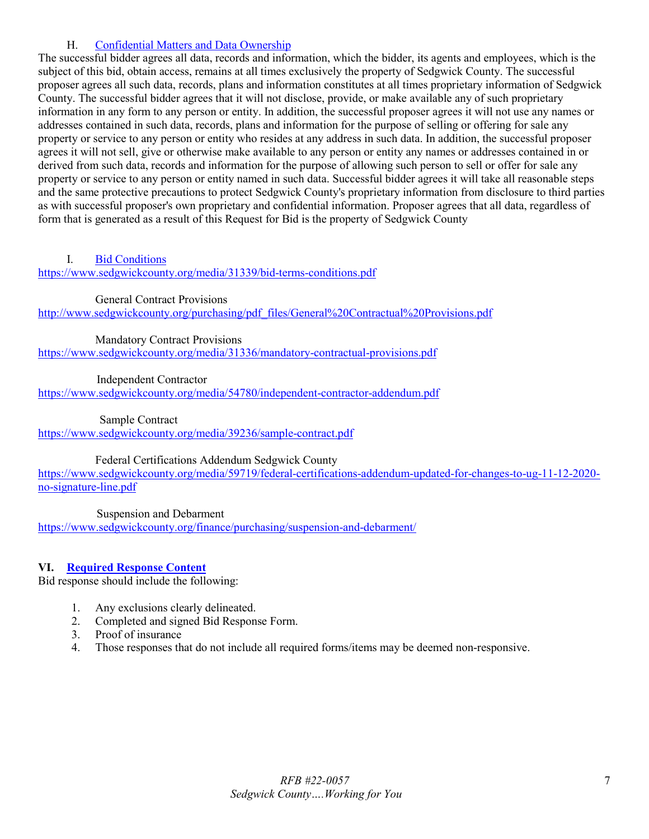## H. [Confidential Matters and Data Ownership](#page-1-12)

The successful bidder agrees all data, records and information, which the bidder, its agents and employees, which is the subject of this bid, obtain access, remains at all times exclusively the property of Sedgwick County. The successful proposer agrees all such data, records, plans and information constitutes at all times proprietary information of Sedgwick County. The successful bidder agrees that it will not disclose, provide, or make available any of such proprietary information in any form to any person or entity. In addition, the successful proposer agrees it will not use any names or addresses contained in such data, records, plans and information for the purpose of selling or offering for sale any property or service to any person or entity who resides at any address in such data. In addition, the successful proposer agrees it will not sell, give or otherwise make available to any person or entity any names or addresses contained in or derived from such data, records and information for the purpose of allowing such person to sell or offer for sale any property or service to any person or entity named in such data. Successful bidder agrees it will take all reasonable steps and the same protective precautions to protect Sedgwick County's proprietary information from disclosure to third parties as with successful proposer's own proprietary and confidential information. Proposer agrees that all data, regardless of form that is generated as a result of this Request for Bid is the property of Sedgwick County

## <span id="page-6-0"></span>I. [Bid Conditions](#page-1-13)

<https://www.sedgwickcounty.org/media/31339/bid-terms-conditions.pdf>

General Contract Provisions

http://www.sedgwickcounty.org/purchasing/pdf\_files/General%20Contractual%20Provisions.pdf

Mandatory Contract Provisions

<https://www.sedgwickcounty.org/media/31336/mandatory-contractual-provisions.pdf>

Independent Contractor

<https://www.sedgwickcounty.org/media/54780/independent-contractor-addendum.pdf>

Sample Contract

<https://www.sedgwickcounty.org/media/39236/sample-contract.pdf>

Federal Certifications Addendum Sedgwick County

[https://www.sedgwickcounty.org/media/59719/federal-certifications-addendum-updated-for-changes-to-ug-11-12-2020](https://www.sedgwickcounty.org/media/59719/federal-certifications-addendum-updated-for-changes-to-ug-11-12-2020-no-signature-line.pdf) [no-signature-line.pdf](https://www.sedgwickcounty.org/media/59719/federal-certifications-addendum-updated-for-changes-to-ug-11-12-2020-no-signature-line.pdf)

Suspension and Debarment

<https://www.sedgwickcounty.org/finance/purchasing/suspension-and-debarment/>

## <span id="page-6-1"></span>**VI. [Required Response Content](#page-1-14)**

Bid response should include the following:

- 1. Any exclusions clearly delineated.
- 2. Completed and signed Bid Response Form.
- 3. Proof of insurance
- <span id="page-6-2"></span>4. Those responses that do not include all required forms/items may be deemed non-responsive.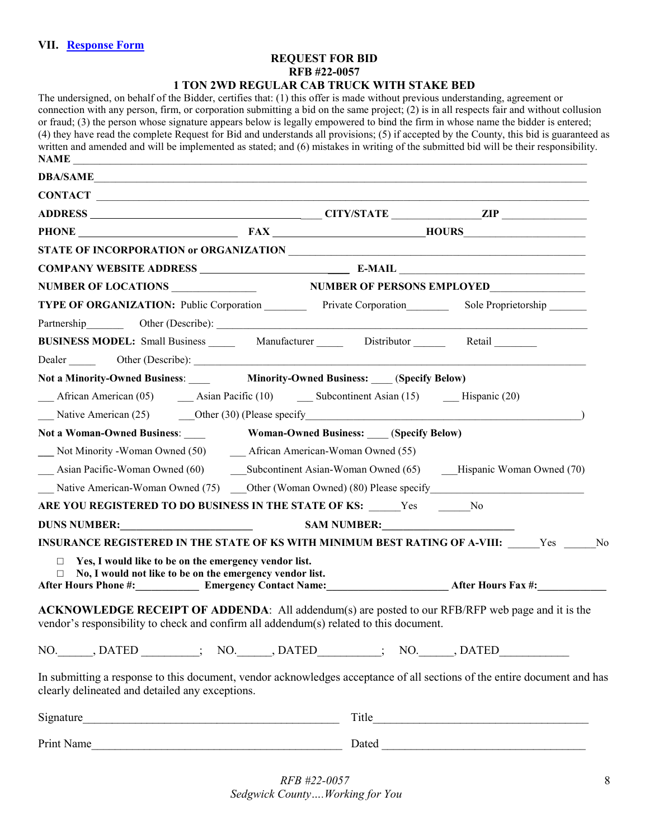### **REQUEST FOR BID RFB #22-0057 1 TON 2WD REGULAR CAB TRUCK WITH STAKE BED**

| The undersigned, on behalf of the Bidder, certifies that: (1) this offer is made without previous understanding, agreement or<br>connection with any person, firm, or corporation submitting a bid on the same project; $(2)$ is in all respects fair and without collusion<br>or fraud; (3) the person whose signature appears below is legally empowered to bind the firm in whose name the bidder is entered;<br>(4) they have read the complete Request for Bid and understands all provisions; (5) if accepted by the County, this bid is guaranteed as<br>written and amended and will be implemented as stated; and (6) mistakes in writing of the submitted bid will be their responsibility.<br><b>NAME</b> |                                              |                 |  |  |
|----------------------------------------------------------------------------------------------------------------------------------------------------------------------------------------------------------------------------------------------------------------------------------------------------------------------------------------------------------------------------------------------------------------------------------------------------------------------------------------------------------------------------------------------------------------------------------------------------------------------------------------------------------------------------------------------------------------------|----------------------------------------------|-----------------|--|--|
| DBA/SAME                                                                                                                                                                                                                                                                                                                                                                                                                                                                                                                                                                                                                                                                                                             |                                              |                 |  |  |
| CONTACT                                                                                                                                                                                                                                                                                                                                                                                                                                                                                                                                                                                                                                                                                                              |                                              |                 |  |  |
|                                                                                                                                                                                                                                                                                                                                                                                                                                                                                                                                                                                                                                                                                                                      |                                              |                 |  |  |
|                                                                                                                                                                                                                                                                                                                                                                                                                                                                                                                                                                                                                                                                                                                      |                                              | PHONE FAX HOURS |  |  |
|                                                                                                                                                                                                                                                                                                                                                                                                                                                                                                                                                                                                                                                                                                                      |                                              |                 |  |  |
|                                                                                                                                                                                                                                                                                                                                                                                                                                                                                                                                                                                                                                                                                                                      |                                              |                 |  |  |
| NUMBER OF LOCATIONS NUMBER OF PERSONS EMPLOYED                                                                                                                                                                                                                                                                                                                                                                                                                                                                                                                                                                                                                                                                       |                                              |                 |  |  |
| TYPE OF ORGANIZATION: Public Corporation Private Corporation Sole Proprietorship<br>Partnership Other (Describe):                                                                                                                                                                                                                                                                                                                                                                                                                                                                                                                                                                                                    |                                              |                 |  |  |
| BUSINESS MODEL: Small Business _______ Manufacturer _______ Distributor _______ Retail                                                                                                                                                                                                                                                                                                                                                                                                                                                                                                                                                                                                                               |                                              |                 |  |  |
| Not a Minority-Owned Business: Minority-Owned Business: (Specify Below)<br>African American (05) <b>Assume Assume 2014 Subcontinent Assume 15 Assume 2014 Missume 2014 Subcontinent Assume 15 Missume 2016 Missume 2016 Missume 2016 2016 Subcontinent Assu</b><br>Native American (25) Cher (30) (Please specify Cheron Cheron Cheron Cheron Cheron Cheron Cheron Cheron Cheron Cheron Cheron Cheron Cheron Cheron Cheron Cheron Cheron Cheron Cheron Cheron Cheron Cheron Cheron Cheron Cheron<br>Not a Woman-Owned Business:                                                                                                                                                                                      | <b>Woman-Owned Business:</b> (Specify Below) |                 |  |  |
| Asian Pacific-Woman Owned (60) Subcontinent Asian-Woman Owned (65) Hispanic Woman Owned (70)<br>Native American-Woman Owned (75) _____ Other (Woman Owned) (80) Please specify _______________________________                                                                                                                                                                                                                                                                                                                                                                                                                                                                                                       |                                              |                 |  |  |
| ARE YOU REGISTERED TO DO BUSINESS IN THE STATE OF KS: Yes No                                                                                                                                                                                                                                                                                                                                                                                                                                                                                                                                                                                                                                                         |                                              |                 |  |  |
| DUNS NUMBER:                                                                                                                                                                                                                                                                                                                                                                                                                                                                                                                                                                                                                                                                                                         | SAM NUMBER:                                  |                 |  |  |
| INSURANCE REGISTERED IN THE STATE OF KS WITH MINIMUM BEST RATING OF A-VIII: Ves No<br>$\Box$ Yes, I would like to be on the emergency vendor list.<br>$\Box$ No, I would not like to be on the emergency vendor list.<br>After Hours Phone #: Emergency Contact Name: After Hours Fax #:                                                                                                                                                                                                                                                                                                                                                                                                                             |                                              |                 |  |  |
| <b>ACKNOWLEDGE RECEIPT OF ADDENDA:</b> All addendum(s) are posted to our RFB/RFP web page and it is the<br>vendor's responsibility to check and confirm all addendum(s) related to this document.                                                                                                                                                                                                                                                                                                                                                                                                                                                                                                                    |                                              |                 |  |  |
| NO. ______, DATED _________; NO. ______, DATED ________; NO. ______, DATED ___________                                                                                                                                                                                                                                                                                                                                                                                                                                                                                                                                                                                                                               |                                              |                 |  |  |
| In submitting a response to this document, vendor acknowledges acceptance of all sections of the entire document and has<br>clearly delineated and detailed any exceptions.                                                                                                                                                                                                                                                                                                                                                                                                                                                                                                                                          |                                              |                 |  |  |
|                                                                                                                                                                                                                                                                                                                                                                                                                                                                                                                                                                                                                                                                                                                      |                                              |                 |  |  |
| Print Name                                                                                                                                                                                                                                                                                                                                                                                                                                                                                                                                                                                                                                                                                                           |                                              |                 |  |  |